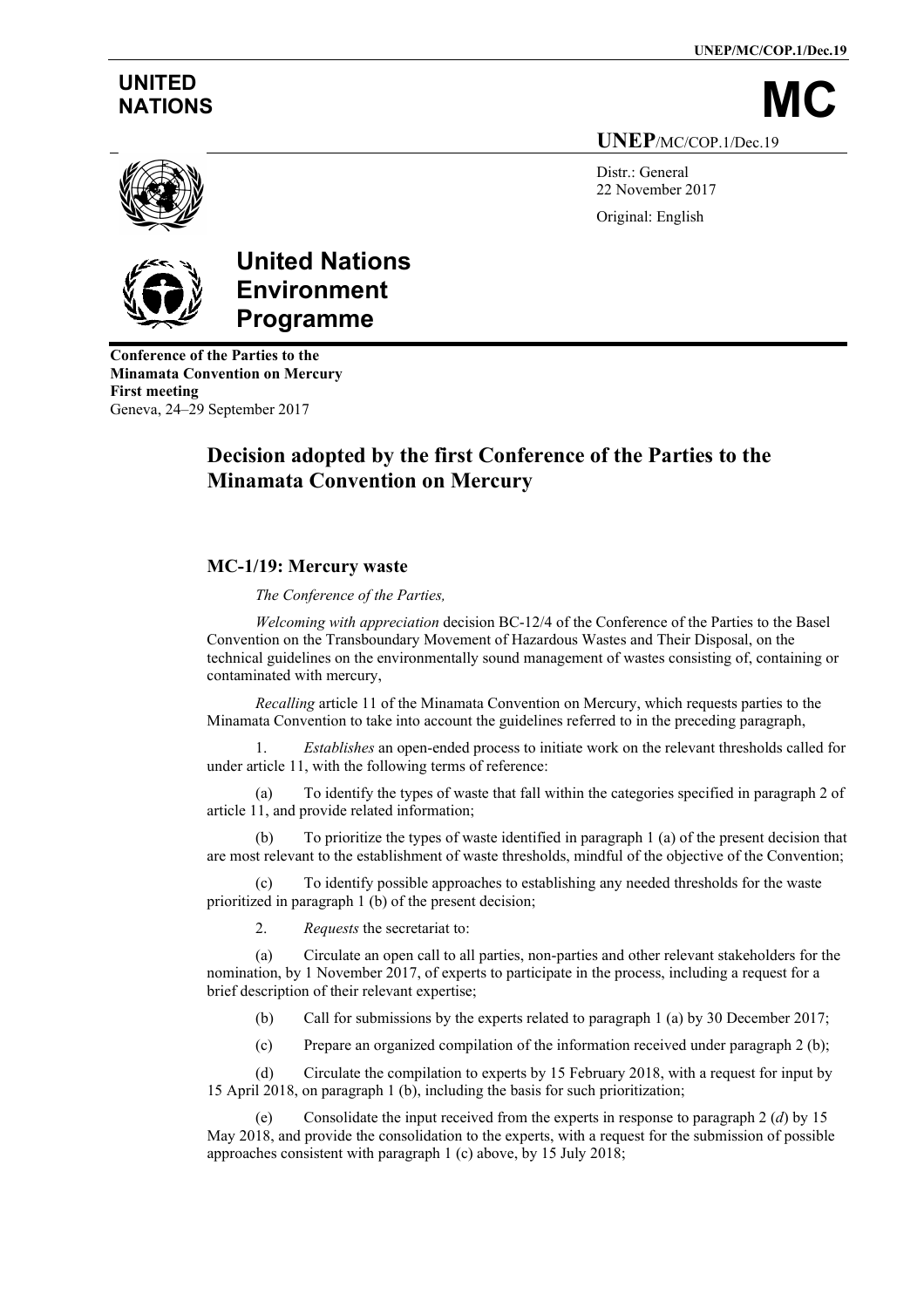**UNEP/MC/COP.1/Dec.19**

## **UNITED**

NATIONS **UNEP**/MC/COP.1/Dec.19

> Distr.: General 22 November 2017 Original: English



## **United Nations Environment Programme**

**Conference of the Parties to the Minamata Convention on Mercury First meeting** Geneva, 24–29 September 2017

## **Decision adopted by the first Conference of the Parties to the Minamata Convention on Mercury**

## **MC-1/19: Mercury waste**

*The Conference of the Parties,*

*Welcoming with appreciation* decision BC-12/4 of the Conference of the Parties to the Basel Convention on the Transboundary Movement of Hazardous Wastes and Their Disposal, on the technical guidelines on the environmentally sound management of wastes consisting of, containing or contaminated with mercury,

*Recalling* article 11 of the Minamata Convention on Mercury, which requests parties to the Minamata Convention to take into account the guidelines referred to in the preceding paragraph,

1. *Establishes* an open-ended process to initiate work on the relevant thresholds called for under article 11, with the following terms of reference:

To identify the types of waste that fall within the categories specified in paragraph 2 of article 11, and provide related information;

(b) To prioritize the types of waste identified in paragraph 1 (a) of the present decision that are most relevant to the establishment of waste thresholds, mindful of the objective of the Convention;

(c) To identify possible approaches to establishing any needed thresholds for the waste prioritized in paragraph 1 (b) of the present decision;

2. *Requests* the secretariat to:

(a) Circulate an open call to all parties, non-parties and other relevant stakeholders for the nomination, by 1 November 2017, of experts to participate in the process, including a request for a brief description of their relevant expertise;

(b) Call for submissions by the experts related to paragraph 1 (a) by 30 December 2017;

(c) Prepare an organized compilation of the information received under paragraph 2 (b);

(d) Circulate the compilation to experts by 15 February 2018, with a request for input by 15 April 2018, on paragraph 1 (b), including the basis for such prioritization;

(e) Consolidate the input received from the experts in response to paragraph 2 (*d*) by 15 May 2018, and provide the consolidation to the experts, with a request for the submission of possible approaches consistent with paragraph 1 (c) above, by 15 July 2018;